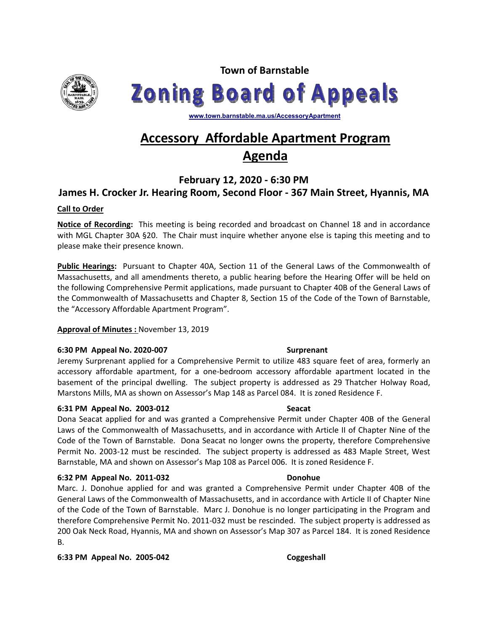

**Town of Barnstable Zoning Board of Appeals** 

**www.town.barnstable.ma.us/AccessoryApartment**

# **Accessory Affordable Apartment Program Agenda**

# **February 12, 2020 - 6:30 PM**

## **James H. Crocker Jr. Hearing Room, Second Floor - 367 Main Street, Hyannis, MA**

### **Call to Order**

**Notice of Recording:** This meeting is being recorded and broadcast on Channel 18 and in accordance with MGL Chapter 30A §20. The Chair must inquire whether anyone else is taping this meeting and to please make their presence known.

**Public Hearings:** Pursuant to Chapter 40A, Section 11 of the General Laws of the Commonwealth of Massachusetts, and all amendments thereto, a public hearing before the Hearing Offer will be held on the following Comprehensive Permit applications, made pursuant to Chapter 40B of the General Laws of the Commonwealth of Massachusetts and Chapter 8, Section 15 of the Code of the Town of Barnstable, the "Accessory Affordable Apartment Program".

### **Approval of Minutes :** November 13, 2019

### **6:30 PM Appeal No. 2020-007 Surprenant**

Jeremy Surprenant applied for a Comprehensive Permit to utilize 483 square feet of area, formerly an accessory affordable apartment, for a one-bedroom accessory affordable apartment located in the basement of the principal dwelling. The subject property is addressed as 29 Thatcher Holway Road, Marstons Mills, MA as shown on Assessor's Map 148 as Parcel 084. It is zoned Residence F.

### **6:31 PM Appeal No. 2003-012 Seacat**

Dona Seacat applied for and was granted a Comprehensive Permit under Chapter 40B of the General Laws of the Commonwealth of Massachusetts, and in accordance with Article II of Chapter Nine of the Code of the Town of Barnstable. Dona Seacat no longer owns the property, therefore Comprehensive Permit No. 2003-12 must be rescinded. The subject property is addressed as 483 Maple Street, West Barnstable, MA and shown on Assessor's Map 108 as Parcel 006. It is zoned Residence F.

### **6:32 PM Appeal No. 2011-032 Donohue**

Marc. J. Donohue applied for and was granted a Comprehensive Permit under Chapter 40B of the General Laws of the Commonwealth of Massachusetts, and in accordance with Article II of Chapter Nine of the Code of the Town of Barnstable. Marc J. Donohue is no longer participating in the Program and therefore Comprehensive Permit No. 2011-032 must be rescinded. The subject property is addressed as 200 Oak Neck Road, Hyannis, MA and shown on Assessor's Map 307 as Parcel 184. It is zoned Residence B.

**6:33 PM Appeal No. 2005-042 Coggeshall**